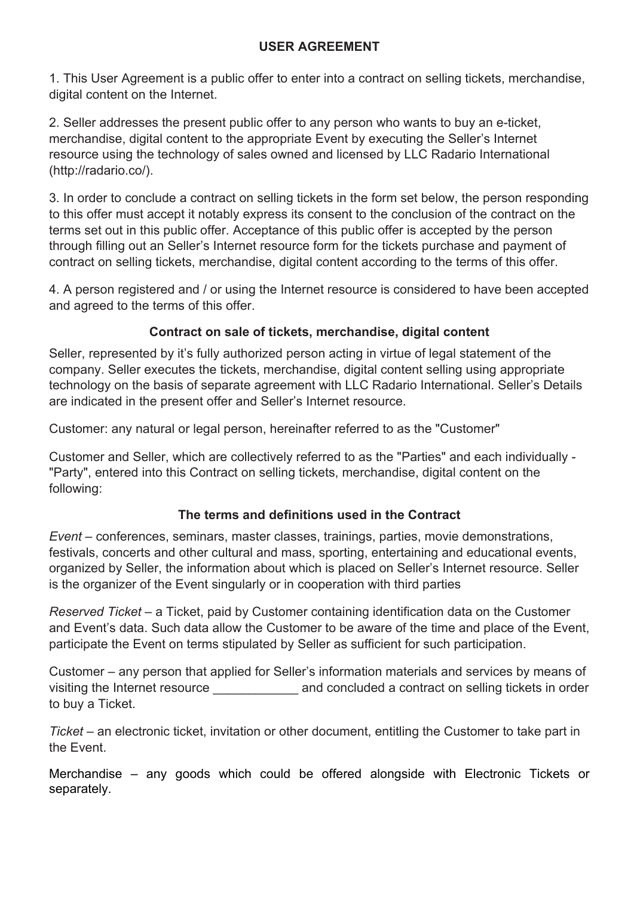### **USER AGREEMENT**

1. This User Agreement is a public offer to enter into a contract on selling tickets, merchandise, digital content on the Internet.

2. Seller addresses the present public offer to any person who wants to buy an e-ticket, merchandise, digital content to the appropriate Event by executing the Seller's Internet resource using the technology of sales owned and licensed by LLC Radario International (http://radario.co/).

3. In order to conclude a contract on selling tickets in the form set below, the person responding to this offer must accept it notably express its consent to the conclusion of the contract on the terms set out in this public offer. Acceptance of this public offer is accepted by the person through filling out an Seller's Internet resource form for the tickets purchase and payment of contract on selling tickets, merchandise, digital content according to the terms of this offer.

4. A person registered and / or using the Internet resource is considered to have been accepted and agreed to the terms of this offer.

## **Contract on sale of tickets, merchandise, digital content**

Seller, represented by it's fully authorized person acting in virtue of legal statement of the company. Seller executes the tickets, merchandise, digital content selling using appropriate technology on the basis of separate agreement with LLC Radario International. Seller's Details are indicated in the present offer and Seller's Internet resource.

Customer: any natural or legal person, hereinafter referred to as the "Customer"

Customer and Seller, which are collectively referred to as the "Parties" and each individually - "Party", entered into this Contract on selling tickets, merchandise, digital content on the following:

#### **The terms and definitions used in the Contract**

*Event* – conferences, seminars, master classes, trainings, parties, movie demonstrations, festivals, concerts and other cultural and mass, sporting, entertaining and educational events, organized by Seller, the information about which is placed on Seller's Internet resource. Seller is the organizer of the Event singularly or in cooperation with third parties

*Reserved Ticket* – a Ticket, paid by Customer containing identification data on the Customer and Event's data. Such data allow the Customer to be aware of the time and place of the Event, participate the Event on terms stipulated by Seller as sufficient for such participation.

Customer – any person that applied for Seller's information materials and services by means of visiting the Internet resource \_\_\_\_\_\_\_\_\_\_\_\_ and concluded a contract on selling tickets in order to buy a Ticket.

*Ticket* – an electronic ticket, invitation or other document, entitling the Customer to take part in the Event.

Merchandise – any goods which could be offered alongside with Electronic Tickets or separately.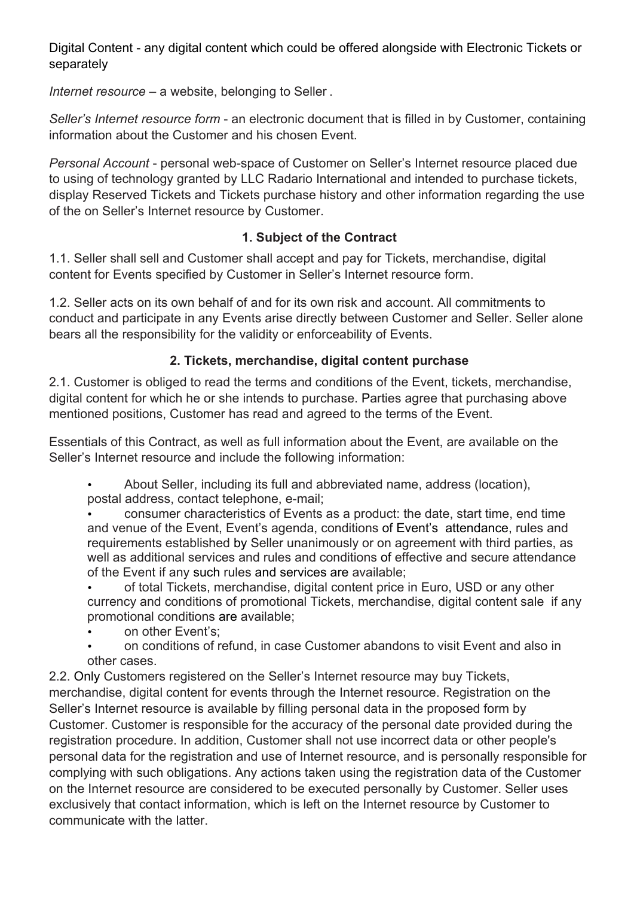Digital Content - any digital content which could be offered alongside with Electronic Tickets or separately

*Internet resource* – a website, belonging to Seller .

*Seller's Internet resource form* - an electronic document that is filled in by Customer, containing information about the Customer and his chosen Event.

*Personal Account* - personal web-space of Customer on Seller's Internet resource placed due to using of technology granted by LLC Radario International and intended to purchase tickets, display Reserved Tickets and Tickets purchase history and other information regarding the use of the on Seller's Internet resource by Customer.

# **1. Subject of the Contract**

1.1. Seller shall sell and Customer shall accept and pay for Tickets, merchandise, digital content for Events specified by Customer in Seller's Internet resource form.

1.2. Seller acts on its own behalf of and for its own risk and account. All commitments to conduct and participate in any Events arise directly between Customer and Seller. Seller alone bears all the responsibility for the validity or enforceability of Events.

# **2. Tickets, merchandise, digital content purchase**

2.1. Customer is obliged to read the terms and conditions of the Event, tickets, merchandise, digital content for which he or she intends to purchase. Parties agree that purchasing above mentioned positions, Customer has read and agreed to the terms of the Event.

Essentials of this Contract, as well as full information about the Event, are available on the Seller's Internet resource and include the following information:

• About Seller, including its full and abbreviated name, address (location), postal address, contact telephone, e-mail;

• consumer characteristics of Events as a product: the date, start time, end time and venue of the Event, Event's agenda, conditions of Event's attendance, rules and requirements established by Seller unanimously or on agreement with third parties, as well as additional services and rules and conditions of effective and secure attendance of the Event if any such rules and services are available;

• of total Tickets, merchandise, digital content price in Euro, USD or any other currency and conditions of promotional Tickets, merchandise, digital content sale if any promotional conditions are available;

- on other Event's;
- on conditions of refund, in case Customer abandons to visit Event and also in other cases.

2.2. Only Customers registered on the Seller's Internet resource may buy Tickets, merchandise, digital content for events through the Internet resource. Registration on the Seller's Internet resource is available by filling personal data in the proposed form by Customer. Customer is responsible for the accuracy of the personal date provided during the registration procedure. In addition, Customer shall not use incorrect data or other people's personal data for the registration and use of Internet resource, and is personally responsible for complying with such obligations. Any actions taken using the registration data of the Customer on the Internet resource are considered to be executed personally by Customer. Seller uses exclusively that contact information, which is left on the Internet resource by Customer to communicate with the latter.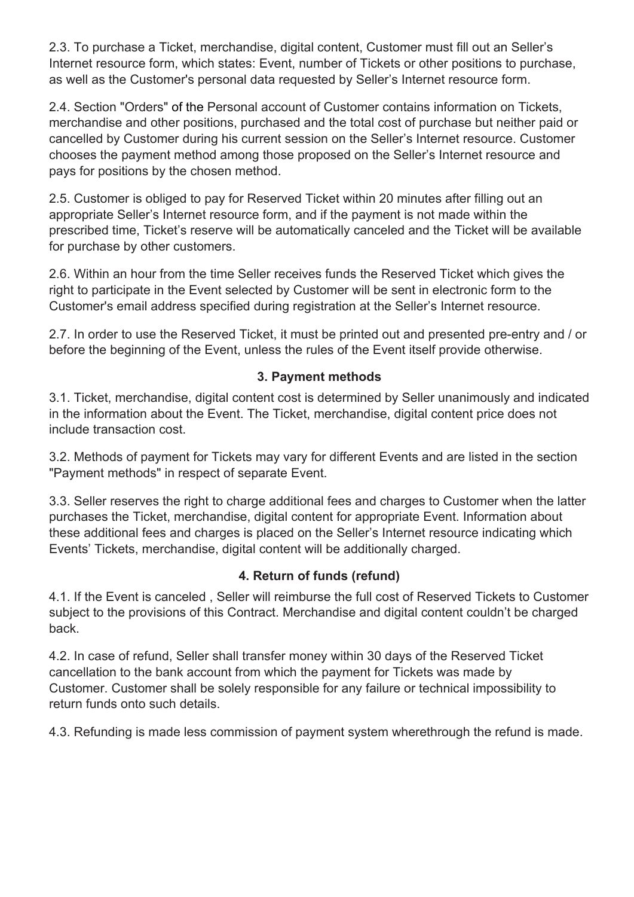2.3. To purchase a Ticket, merchandise, digital content, Customer must fill out an Seller's Internet resource form, which states: Event, number of Tickets or other positions to purchase, as well as the Customer's personal data requested by Seller's Internet resource form.

2.4. Section "Orders" of the Personal account of Customer contains information on Tickets, merchandise and other positions, purchased and the total cost of purchase but neither paid or cancelled by Customer during his current session on the Seller's Internet resource. Customer chooses the payment method among those proposed on the Seller's Internet resource and pays for positions by the chosen method.

2.5. Customer is obliged to pay for Reserved Ticket within 20 minutes after filling out an appropriate Seller's Internet resource form, and if the payment is not made within the prescribed time, Ticket's reserve will be automatically canceled and the Ticket will be available for purchase by other customers.

2.6. Within an hour from the time Seller receives funds the Reserved Ticket which gives the right to participate in the Event selected by Customer will be sent in electronic form to the Customer's email address specified during registration at the Seller's Internet resource.

2.7. In order to use the Reserved Ticket, it must be printed out and presented pre-entry and / or before the beginning of the Event, unless the rules of the Event itself provide otherwise.

### **3. Payment methods**

3.1. Ticket, merchandise, digital content cost is determined by Seller unanimously and indicated in the information about the Event. The Ticket, merchandise, digital content price does not include transaction cost.

3.2. Methods of payment for Tickets may vary for different Events and are listed in the section "Payment methods" in respect of separate Event.

3.3. Seller reserves the right to charge additional fees and charges to Customer when the latter purchases the Ticket, merchandise, digital content for appropriate Event. Information about these additional fees and charges is placed on the Seller's Internet resource indicating which Events' Tickets, merchandise, digital content will be additionally charged.

## **4. Return of funds (refund)**

4.1. If the Event is canceled , Seller will reimburse the full cost of Reserved Tickets to Customer subject to the provisions of this Contract. Merchandise and digital content couldn't be charged back.

4.2. In case of refund, Seller shall transfer money within 30 days of the Reserved Ticket cancellation to the bank account from which the payment for Tickets was made by Customer. Customer shall be solely responsible for any failure or technical impossibility to return funds onto such details.

4.3. Refunding is made less commission of payment system wherethrough the refund is made.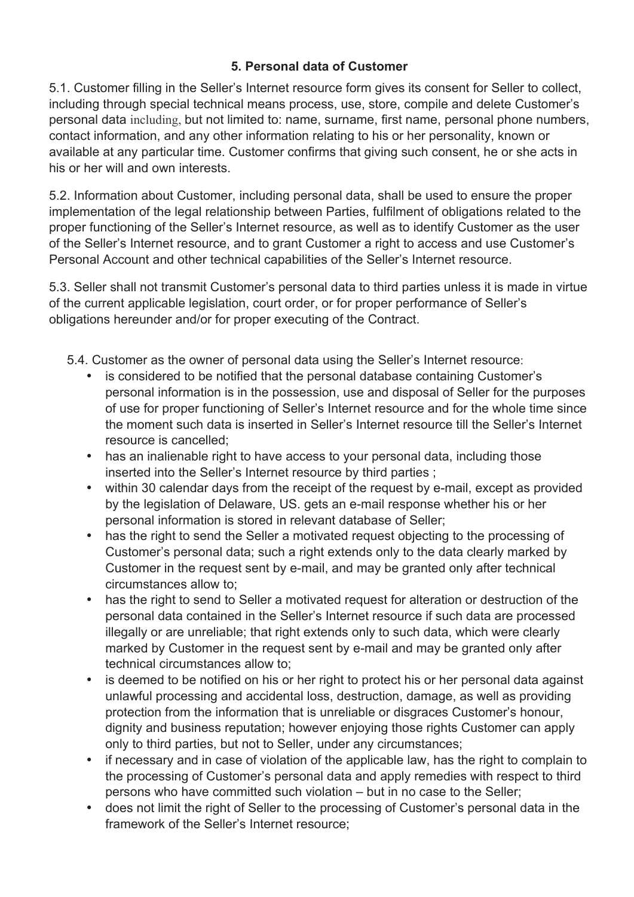### **5. Personal data of Customer**

5.1. Customer filling in the Seller's Internet resource form gives its consent for Seller to collect, including through special technical means process, use, store, compile and delete Customer's personal data including, but not limited to: name, surname, first name, personal phone numbers, contact information, and any other information relating to his or her personality, known or available at any particular time. Customer confirms that giving such consent, he or she acts in his or her will and own interests.

5.2. Information about Customer, including personal data, shall be used to ensure the proper implementation of the legal relationship between Parties, fulfilment of obligations related to the proper functioning of the Seller's Internet resource, as well as to identify Customer as the user of the Seller's Internet resource, and to grant Customer a right to access and use Customer's Personal Account and other technical capabilities of the Seller's Internet resource.

5.3. Seller shall not transmit Customer's personal data to third parties unless it is made in virtue of the current applicable legislation, court order, or for proper performance of Seller's obligations hereunder and/or for proper executing of the Contract.

- 5.4. Customer as the owner of personal data using the Seller's Internet resource:
	- is considered to be notified that the personal database containing Customer's personal information is in the possession, use and disposal of Seller for the purposes of use for proper functioning of Seller's Internet resource and for the whole time since the moment such data is inserted in Seller's Internet resource till the Seller's Internet resource is cancelled;
	- has an inalienable right to have access to your personal data, including those inserted into the Seller's Internet resource by third parties ;
	- within 30 calendar days from the receipt of the request by e-mail, except as provided by the legislation of Delaware, US. gets an e-mail response whether his or her personal information is stored in relevant database of Seller;
	- has the right to send the Seller a motivated request objecting to the processing of Customer's personal data; such a right extends only to the data clearly marked by Customer in the request sent by e-mail, and may be granted only after technical circumstances allow to;
	- has the right to send to Seller a motivated request for alteration or destruction of the personal data contained in the Seller's Internet resource if such data are processed illegally or are unreliable; that right extends only to such data, which were clearly marked by Customer in the request sent by e-mail and may be granted only after technical circumstances allow to;
	- is deemed to be notified on his or her right to protect his or her personal data against unlawful processing and accidental loss, destruction, damage, as well as providing protection from the information that is unreliable or disgraces Customer's honour, dignity and business reputation; however enjoying those rights Customer can apply only to third parties, but not to Seller, under any circumstances;
	- if necessary and in case of violation of the applicable law, has the right to complain to the processing of Customer's personal data and apply remedies with respect to third persons who have committed such violation – but in no case to the Seller;
	- does not limit the right of Seller to the processing of Customer's personal data in the framework of the Seller's Internet resource;